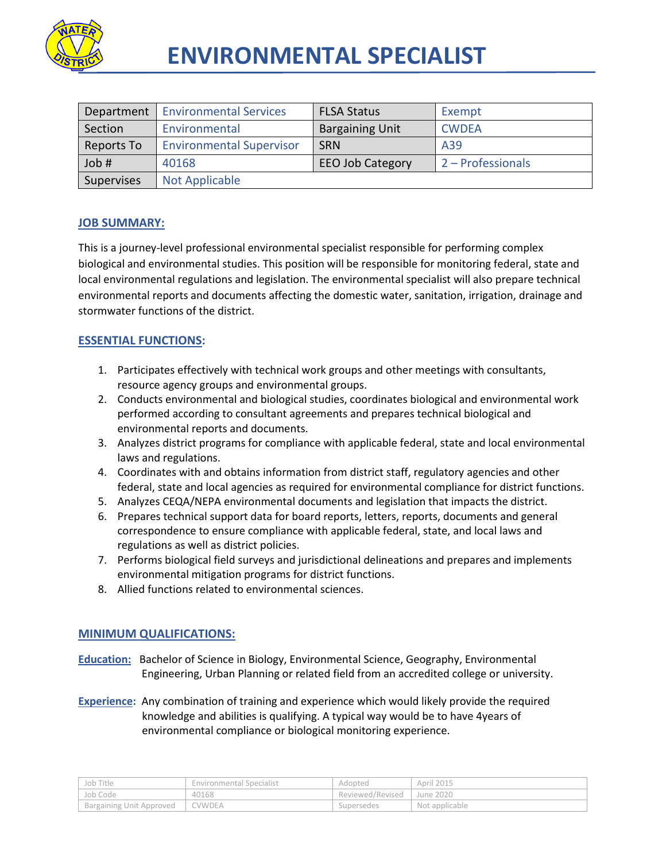

| Department | <b>Environmental Services</b>   | <b>FLSA Status</b>      | Exempt            |
|------------|---------------------------------|-------------------------|-------------------|
| Section    | Environmental                   | <b>Bargaining Unit</b>  | <b>CWDEA</b>      |
| Reports To | <b>Environmental Supervisor</b> | <b>SRN</b>              | A39               |
| Job #      | 40168                           | <b>EEO Job Category</b> | 2 - Professionals |
| Supervises | <b>Not Applicable</b>           |                         |                   |

# **JOB SUMMARY:**

This is a journey-level professional environmental specialist responsible for performing complex biological and environmental studies. This position will be responsible for monitoring federal, state and local environmental regulations and legislation. The environmental specialist will also prepare technical environmental reports and documents affecting the domestic water, sanitation, irrigation, drainage and stormwater functions of the district.

# **ESSENTIAL FUNCTIONS:**

- 1. Participates effectively with technical work groups and other meetings with consultants, resource agency groups and environmental groups.
- 2. Conducts environmental and biological studies, coordinates biological and environmental work performed according to consultant agreements and prepares technical biological and environmental reports and documents.
- 3. Analyzes district programs for compliance with applicable federal, state and local environmental laws and regulations.
- 4. Coordinates with and obtains information from district staff, regulatory agencies and other federal, state and local agencies as required for environmental compliance for district functions.
- 5. Analyzes CEQA/NEPA environmental documents and legislation that impacts the district.
- 6. Prepares technical support data for board reports, letters, reports, documents and general correspondence to ensure compliance with applicable federal, state, and local laws and regulations as well as district policies.
- 7. Performs biological field surveys and jurisdictional delineations and prepares and implements environmental mitigation programs for district functions.
- 8. Allied functions related to environmental sciences.

## **MINIMUM QUALIFICATIONS:**

- **Education:** Bachelor of Science in Biology, Environmental Science, Geography, Environmental Engineering, Urban Planning or related field from an accredited college or university.
- **Experience:** Any combination of training and experience which would likely provide the required knowledge and abilities is qualifying. A typical way would be to have 4years of environmental compliance or biological monitoring experience.

| Job Title                | ' Environmental Specialist | Adopted          | April 2015     |
|--------------------------|----------------------------|------------------|----------------|
| Job Code                 | 40168                      | Reviewed/Revised | June 2020      |
| Bargaining Unit Approved | CVWDEA                     | Supersedes       | Not applicable |